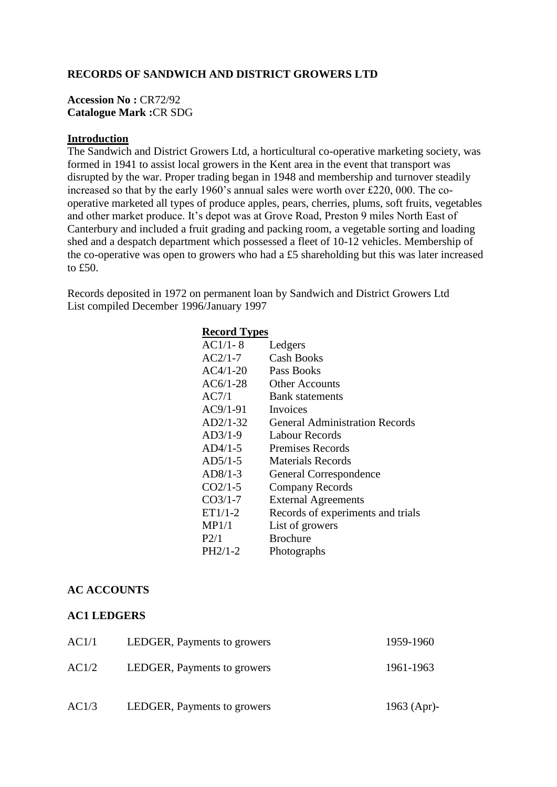### **RECORDS OF SANDWICH AND DISTRICT GROWERS LTD**

#### **Accession No :** CR72/92 **Catalogue Mark :**CR SDG

#### **Introduction**

The Sandwich and District Growers Ltd, a horticultural co-operative marketing society, was formed in 1941 to assist local growers in the Kent area in the event that transport was disrupted by the war. Proper trading began in 1948 and membership and turnover steadily increased so that by the early 1960's annual sales were worth over £220, 000. The cooperative marketed all types of produce apples, pears, cherries, plums, soft fruits, vegetables and other market produce. It's depot was at Grove Road, Preston 9 miles North East of Canterbury and included a fruit grading and packing room, a vegetable sorting and loading shed and a despatch department which possessed a fleet of 10-12 vehicles. Membership of the co-operative was open to growers who had a £5 shareholding but this was later increased to £50.

Records deposited in 1972 on permanent loan by Sandwich and District Growers Ltd List compiled December 1996/January 1997

| <b>Record Types</b> |                                       |  |
|---------------------|---------------------------------------|--|
| $AC1/1-8$           | Ledgers                               |  |
| $AC2/1-7$           | Cash Books                            |  |
| $AC4/1-20$          | Pass Books                            |  |
| $AC6/1-28$          | <b>Other Accounts</b>                 |  |
| AC7/1               | <b>Bank</b> statements                |  |
| $AC9/1-91$          | Invoices                              |  |
| $AD2/1-32$          | <b>General Administration Records</b> |  |
| $AD3/1-9$           | <b>Labour Records</b>                 |  |
| $AD4/1-5$           | <b>Premises Records</b>               |  |
| $AD5/1-5$           | Materials Records                     |  |
| $AD8/1-3$           | General Correspondence                |  |
| $CO2/1-5$           | <b>Company Records</b>                |  |
| $CO3/1-7$           | <b>External Agreements</b>            |  |
| $ET1/1-2$           | Records of experiments and trials     |  |
| MP1/1               | List of growers                       |  |
| P2/1                | <b>Brochure</b>                       |  |
| $PH2/1-2$           | Photographs                           |  |

### **AC ACCOUNTS**

#### **AC1 LEDGERS**

| AC1/1 | LEDGER, Payments to growers | 1959-1960   |
|-------|-----------------------------|-------------|
| AC1/2 | LEDGER, Payments to growers | 1961-1963   |
| AC1/3 | LEDGER, Payments to growers | 1963 (Apr)- |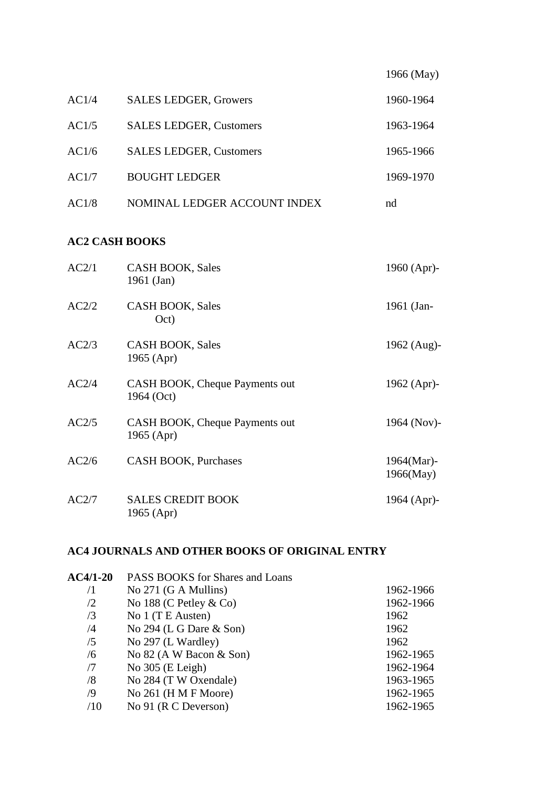|       |                                | 1966 (May) |
|-------|--------------------------------|------------|
| AC1/4 | <b>SALES LEDGER, Growers</b>   | 1960-1964  |
| AC1/5 | <b>SALES LEDGER, Customers</b> | 1963-1964  |
| AC1/6 | <b>SALES LEDGER, Customers</b> | 1965-1966  |
| AC1/7 | <b>BOUGHT LEDGER</b>           | 1969-1970  |
| AC1/8 | NOMINAL LEDGER ACCOUNT INDEX   | nd         |

# **AC2 CASH BOOKS**

| AC2/1 | <b>CASH BOOK, Sales</b><br>1961 (Jan)        | 1960 (Apr)-             |
|-------|----------------------------------------------|-------------------------|
| AC2/2 | <b>CASH BOOK, Sales</b><br>Oct)              | 1961 (Jan-              |
| AC2/3 | <b>CASH BOOK, Sales</b><br>1965 (Apr)        | 1962 (Aug)-             |
| AC2/4 | CASH BOOK, Cheque Payments out<br>1964 (Oct) | 1962 (Apr)-             |
| AC2/5 | CASH BOOK, Cheque Payments out<br>1965 (Apr) | 1964 (Nov)-             |
| AC2/6 | <b>CASH BOOK, Purchases</b>                  | 1964(Mar)-<br>1966(May) |
| AC2/7 | <b>SALES CREDIT BOOK</b><br>1965 (Apr)       | 1964 (Apr)-             |

# **AC4 JOURNALS AND OTHER BOOKS OF ORIGINAL ENTRY**

| $AC4/1-20$ | PASS BOOKS for Shares and Loans |           |  |
|------------|---------------------------------|-----------|--|
| /1         | No $271$ (G A Mullins)          | 1962-1966 |  |
| /2         | No 188 (C Petley $\&$ Co)       | 1962-1966 |  |
| /3         | No 1 (T E Austen)               | 1962      |  |
| /4         | No $294$ (L G Dare & Son)       | 1962      |  |
| /5         | No 297 (L Wardley)              | 1962      |  |
| /6         | No $82$ (A W Bacon & Son)       | 1962-1965 |  |
| /7         | No $305$ (E Leigh)              | 1962-1964 |  |
| /8         | No 284 (T W Oxendale)           | 1963-1965 |  |
| $\sqrt{9}$ | No $261$ (H M F Moore)          | 1962-1965 |  |
| /10        | No 91 ( $R \cap$ Deverson)      | 1962-1965 |  |
|            |                                 |           |  |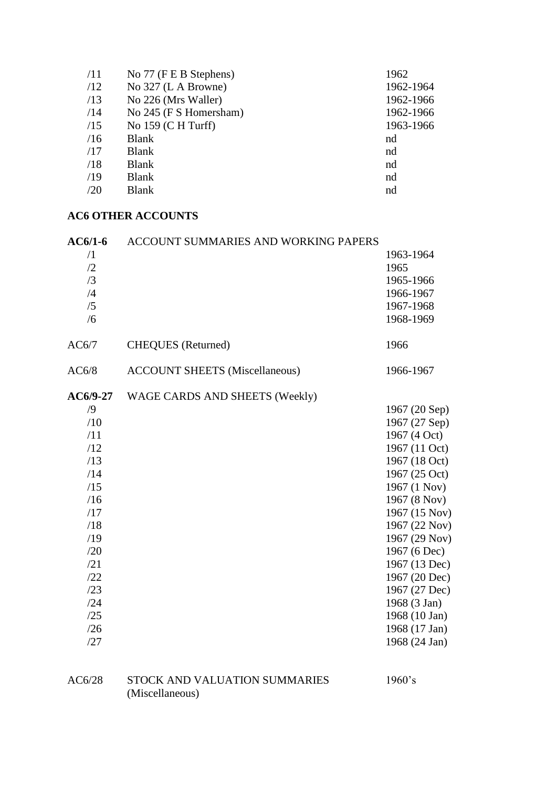| /11 | No 77 (F E B Stephens) | 1962      |
|-----|------------------------|-----------|
| /12 | No 327 (L A Browne)    | 1962-1964 |
| /13 | No 226 (Mrs Waller)    | 1962-1966 |
| /14 | No 245 (F S Homersham) | 1962-1966 |
| /15 | No $159$ (C H Turff)   | 1963-1966 |
| /16 | <b>Blank</b>           | nd        |
| /17 | <b>Blank</b>           | nd        |
| /18 | <b>Blank</b>           | nd        |
| /19 | <b>Blank</b>           | nd        |
| /20 | <b>Blank</b>           | nd        |
|     |                        |           |

# **AC6 OTHER ACCOUNTS**

| $AC6/1-6$  | <b>ACCOUNT SUMMARIES AND WORKING PAPERS</b> |               |
|------------|---------------------------------------------|---------------|
| $\sqrt{1}$ |                                             | 1963-1964     |
| /2         |                                             | 1965          |
| /3         |                                             | 1965-1966     |
| /4         |                                             | 1966-1967     |
| /5         |                                             | 1967-1968     |
| /6         |                                             | 1968-1969     |
| AC6/7      | <b>CHEQUES</b> (Returned)                   | 1966          |
| AC6/8      | <b>ACCOUNT SHEETS (Miscellaneous)</b>       | 1966-1967     |
| $AC6/9-27$ | WAGE CARDS AND SHEETS (Weekly)              |               |
| $\sqrt{9}$ |                                             | 1967 (20 Sep) |
| /10        |                                             | 1967 (27 Sep) |
| /11        |                                             | 1967 (4 Oct)  |
| /12        |                                             | 1967 (11 Oct) |
| /13        |                                             | 1967 (18 Oct) |
| /14        |                                             | 1967 (25 Oct) |
| /15        |                                             | 1967 (1 Nov)  |
| /16        |                                             | 1967 (8 Nov)  |
| /17        |                                             | 1967 (15 Nov) |
| /18        |                                             | 1967 (22 Nov) |
| /19        |                                             | 1967 (29 Nov) |
| /20        |                                             | 1967 (6 Dec)  |
| /21        |                                             | 1967 (13 Dec) |
| /22        |                                             | 1967 (20 Dec) |
| /23        |                                             | 1967 (27 Dec) |
| /24        |                                             | 1968 (3 Jan)  |
| /25        |                                             | 1968 (10 Jan) |
| /26        |                                             | 1968 (17 Jan) |
| /27        |                                             | 1968 (24 Jan) |
|            |                                             |               |

## AC6/28 STOCK AND VALUATION SUMMARIES 1960's (Miscellaneous)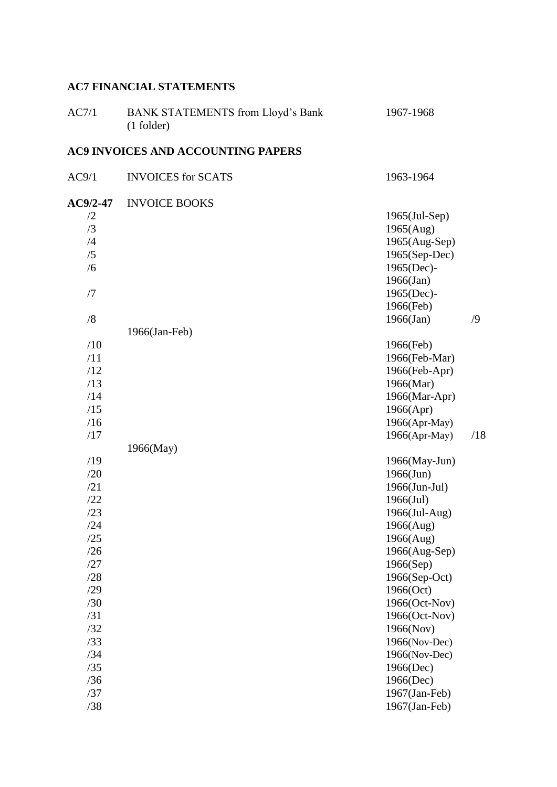# **AC7 FINANCIAL STATEMENTS**

| AC7/1      | <b>BANK STATEMENTS from Lloyd's Bank</b><br>$(1$ folder) | 1967-1968                  |            |
|------------|----------------------------------------------------------|----------------------------|------------|
|            | <b>AC9 INVOICES AND ACCOUNTING PAPERS</b>                |                            |            |
| AC9/1      | <b>INVOICES</b> for SCATS                                | 1963-1964                  |            |
| $AC9/2-47$ | <b>INVOICE BOOKS</b>                                     |                            |            |
| /2         |                                                          | $1965$ (Jul-Sep)           |            |
| /3         |                                                          | 1965(Aug)                  |            |
| /4         |                                                          | 1965(Aug-Sep)              |            |
| /5         |                                                          | $1965(Sep-Dec)$            |            |
| /6         |                                                          | 1965(Dec)-                 |            |
|            |                                                          | $1966$ (Jan)               |            |
| /7         |                                                          | 1965(Dec)-                 |            |
|            |                                                          | 1966(Feb)                  |            |
| /8         |                                                          | $1966$ (Jan)               | $\sqrt{9}$ |
|            | 1966(Jan-Feb)                                            |                            |            |
| /10        |                                                          | 1966(Feb)                  |            |
| /11        |                                                          | 1966(Feb-Mar)              |            |
| /12        |                                                          | 1966(Feb-Apr)              |            |
| /13        |                                                          | 1966(Mar)                  |            |
| /14        |                                                          | 1966(Mar-Apr)              |            |
| /15        |                                                          | 1966(Apr)                  |            |
| /16        |                                                          | 1966(Apr-May)              |            |
| /17        |                                                          | 1966(Apr-May)              | /18        |
|            | 1966(May)                                                |                            |            |
| /19        |                                                          | 1966(May-Jun)              |            |
| /20<br>/21 |                                                          | $1966$ (Jun)               |            |
| /22        |                                                          | 1966(Jun-Jul)              |            |
| /23        |                                                          | $1966$ (Jul)               |            |
| /24        |                                                          | 1966(Jul-Aug)<br>1966(Aug) |            |
| /25        |                                                          |                            |            |
| /26        |                                                          | 1966(Aug)<br>1966(Aug-Sep) |            |
| /27        |                                                          | 1966(Sep)                  |            |
| /28        |                                                          | 1966(Sep-Oct)              |            |
| /29        |                                                          | 1966(Oct)                  |            |
| /30        |                                                          | 1966(Oct-Nov)              |            |
| /31        |                                                          | 1966(Oct-Nov)              |            |
| /32        |                                                          | 1966(Nov)                  |            |
| /33        |                                                          | 1966(Nov-Dec)              |            |
| /34        |                                                          | 1966(Nov-Dec)              |            |
| /35        |                                                          | 1966(Dec)                  |            |
| /36        |                                                          | 1966(Dec)                  |            |
| /37        |                                                          | 1967(Jan-Feb)              |            |
| /38        |                                                          | 1967(Jan-Feb)              |            |
|            |                                                          |                            |            |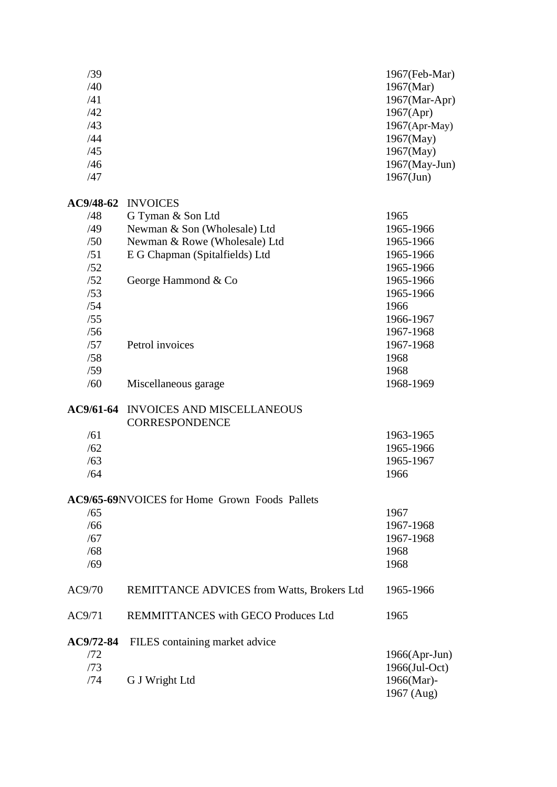| /39                        |                                                            | 1967(Feb-Mar)    |
|----------------------------|------------------------------------------------------------|------------------|
| /40                        |                                                            | 1967(Mar)        |
| /41                        |                                                            | 1967(Mar-Apr)    |
| /42                        |                                                            | 1967(Apr)        |
| /43                        |                                                            |                  |
|                            |                                                            | 1967(Apr-May)    |
| /44                        |                                                            | 1967(May)        |
| /45                        |                                                            | 1967(May)        |
| /46                        |                                                            | 1967(May-Jun)    |
| /47                        |                                                            | $1967$ (Jun)     |
| AC9/48-62                  | <b>INVOICES</b>                                            |                  |
| /48                        | G Tyman & Son Ltd                                          | 1965             |
| /49                        | Newman & Son (Wholesale) Ltd                               | 1965-1966        |
| /50                        | Newman & Rowe (Wholesale) Ltd                              | 1965-1966        |
| /51                        | E G Chapman (Spitalfields) Ltd                             | 1965-1966        |
|                            |                                                            |                  |
| /52                        |                                                            | 1965-1966        |
| /52                        | George Hammond & Co                                        | 1965-1966        |
| /53                        |                                                            | 1965-1966        |
| /54                        |                                                            | 1966             |
| /55                        |                                                            | 1966-1967        |
| /56                        |                                                            | 1967-1968        |
| /57                        | Petrol invoices                                            | 1967-1968        |
| /58                        |                                                            | 1968             |
| /59                        |                                                            | 1968             |
| /60                        | Miscellaneous garage                                       | 1968-1969        |
| AC9/61-64                  | <b>INVOICES AND MISCELLANEOUS</b><br><b>CORRESPONDENCE</b> |                  |
| /61                        |                                                            | 1963-1965        |
| /62                        |                                                            | 1965-1966        |
| /63                        |                                                            | 1965-1967        |
| /64                        |                                                            | 1966             |
|                            | <b>AC9/65-69NVOICES</b> for Home Grown Foods Pallets       |                  |
| /65                        |                                                            | 1967             |
| /66                        |                                                            | 1967-1968        |
| /67                        |                                                            | 1967-1968        |
|                            |                                                            |                  |
|                            |                                                            |                  |
| /68                        |                                                            | 1968             |
| /69                        |                                                            | 1968             |
| AC9/70                     | REMITTANCE ADVICES from Watts, Brokers Ltd                 | 1965-1966        |
|                            | REMMITTANCES with GECO Produces Ltd                        | 1965             |
|                            | FILES containing market advice                             |                  |
| AC9/71<br>AC9/72-84<br>/72 |                                                            | 1966(Apr-Jun)    |
| /73                        |                                                            | $1966$ (Jul-Oct) |
| /74                        | G J Wright Ltd                                             | 1966(Mar)-       |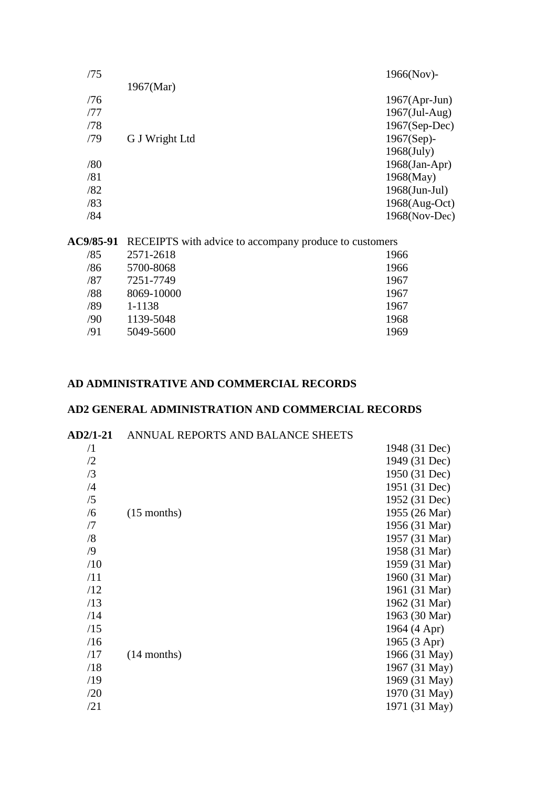| /75 |                | $1966(Nov)$ -    |
|-----|----------------|------------------|
|     | 1967(Mar)      |                  |
| /76 |                | $1967(Apr-Jun)$  |
| /77 |                | $1967$ (Jul-Aug) |
| /78 |                | $1967(Sep-Dec)$  |
| /79 | G J Wright Ltd | $1967(Sep)$ -    |
|     |                | $1968$ (July)    |
| /80 |                | $1968$ (Jan-Apr) |
| /81 |                | $1968$ (May)     |
| /82 |                | $1968$ (Jun-Jul) |
| /83 |                | $1968(Aug-Oct)$  |
| /84 |                | $1968(Nov-Dec)$  |
|     |                |                  |

**AC9/85-91** RECEIPTS with advice to accompany produce to customers

| /85 | 2571-2618  | 1966 |
|-----|------------|------|
| /86 | 5700-8068  | 1966 |
| /87 | 7251-7749  | 1967 |
| /88 | 8069-10000 | 1967 |
| /89 | 1-1138     | 1967 |
| /90 | 1139-5048  | 1968 |
| /91 | 5049-5600  | 1969 |
|     |            |      |

# **AD ADMINISTRATIVE AND COMMERCIAL RECORDS**

# **AD2 GENERAL ADMINISTRATION AND COMMERCIAL RECORDS**

#### **AD2/1-21** ANNUAL REPORTS AND BALANCE SHEETS

| $\sqrt{1}$ |               | 1948 (31 Dec) |
|------------|---------------|---------------|
| /2         |               | 1949 (31 Dec) |
| /3         |               | 1950 (31 Dec) |
| /4         |               | 1951 (31 Dec) |
| /5         |               | 1952 (31 Dec) |
| /6         | $(15$ months) | 1955 (26 Mar) |
| /7         |               | 1956 (31 Mar) |
| /8         |               | 1957 (31 Mar) |
| /9         |               | 1958 (31 Mar) |
| /10        |               | 1959 (31 Mar) |
| /11        |               | 1960 (31 Mar) |
| /12        |               | 1961 (31 Mar) |
| /13        |               | 1962 (31 Mar) |
| /14        |               | 1963 (30 Mar) |
| /15        |               | 1964 (4 Apr)  |
| /16        |               | 1965 (3 Apr)  |
| /17        | $(14$ months) | 1966 (31 May) |
| /18        |               | 1967 (31 May) |
| /19        |               | 1969 (31 May) |
| /20        |               | 1970 (31 May) |
| /21        |               | 1971 (31 May) |
|            |               |               |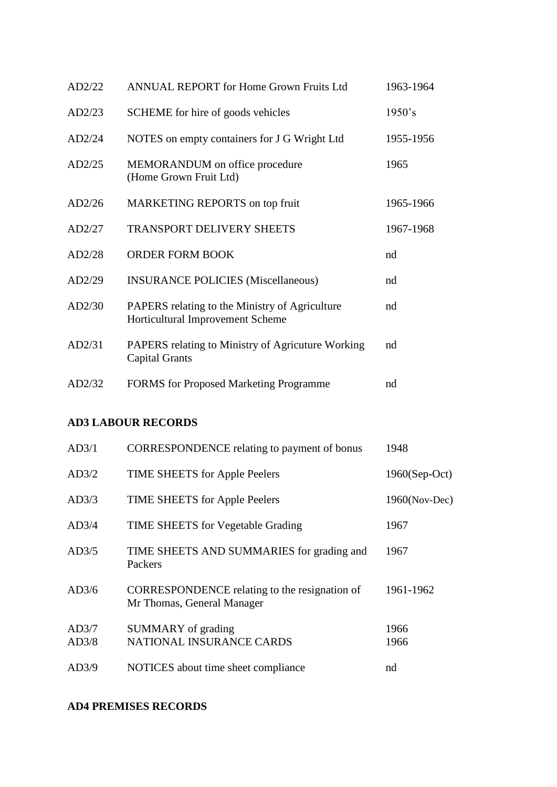| <b>ANNUAL REPORT for Home Grown Fruits Ltd</b>                                     | 1963-1964 |
|------------------------------------------------------------------------------------|-----------|
| SCHEME for hire of goods vehicles                                                  | 1950's    |
| NOTES on empty containers for J G Wright Ltd                                       | 1955-1956 |
| MEMORANDUM on office procedure<br>(Home Grown Fruit Ltd)                           | 1965      |
| MARKETING REPORTS on top fruit                                                     | 1965-1966 |
| <b>TRANSPORT DELIVERY SHEETS</b>                                                   | 1967-1968 |
| <b>ORDER FORM BOOK</b>                                                             | nd        |
| <b>INSURANCE POLICIES (Miscellaneous)</b>                                          | nd        |
| PAPERS relating to the Ministry of Agriculture<br>Horticultural Improvement Scheme | nd        |
| PAPERS relating to Ministry of Agricuture Working<br><b>Capital Grants</b>         | nd        |
| <b>FORMS</b> for Proposed Marketing Programme                                      | nd        |
|                                                                                    |           |

# **AD3 LABOUR RECORDS**

| AD3/1          | <b>CORRESPONDENCE</b> relating to payment of bonus                          | 1948          |
|----------------|-----------------------------------------------------------------------------|---------------|
| AD3/2          | TIME SHEETS for Apple Peelers                                               | 1960(Sep-Oct) |
| AD3/3          | TIME SHEETS for Apple Peelers                                               | 1960(Nov-Dec) |
| AD3/4          | <b>TIME SHEETS</b> for Vegetable Grading                                    | 1967          |
| AD3/5          | TIME SHEETS AND SUMMARIES for grading and<br>Packers                        | 1967          |
| AD3/6          | CORRESPONDENCE relating to the resignation of<br>Mr Thomas, General Manager | 1961-1962     |
| AD3/7<br>AD3/8 | SUMMARY of grading<br>NATIONAL INSURANCE CARDS                              | 1966<br>1966  |
| AD3/9          | NOTICES about time sheet compliance                                         | nd            |

# **AD4 PREMISES RECORDS**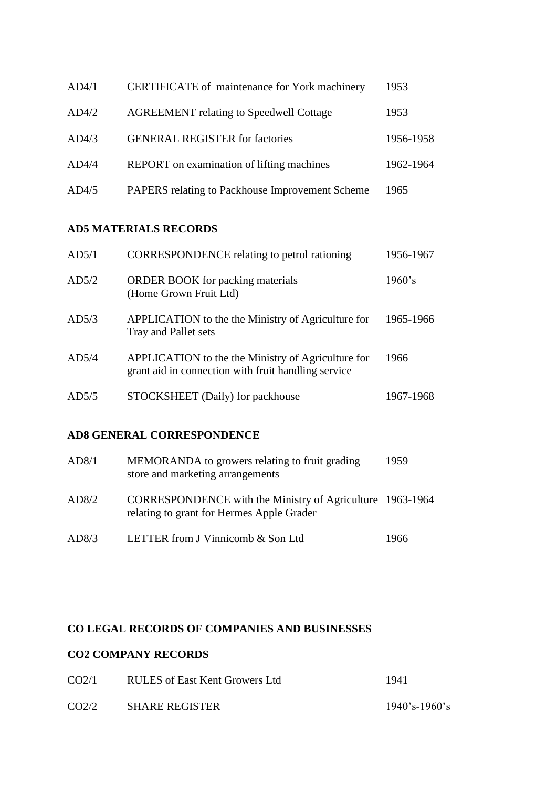| AD4/1 | CERTIFICATE of maintenance for York machinery   | 1953      |
|-------|-------------------------------------------------|-----------|
| AD4/2 | <b>AGREEMENT</b> relating to Speedwell Cottage  | 1953      |
| AD4/3 | <b>GENERAL REGISTER for factories</b>           | 1956-1958 |
| AD4/4 | REPORT on examination of lifting machines       | 1962-1964 |
| AD4/5 | PAPERS relating to Packhouse Improvement Scheme | 1965      |

### **AD5 MATERIALS RECORDS**

| AD5/1 | <b>CORRESPONDENCE</b> relating to petrol rationing                                                        | 1956-1967 |
|-------|-----------------------------------------------------------------------------------------------------------|-----------|
| AD5/2 | <b>ORDER BOOK</b> for packing materials<br>(Home Grown Fruit Ltd)                                         | 1960's    |
| AD5/3 | APPLICATION to the the Ministry of Agriculture for<br>Tray and Pallet sets                                | 1965-1966 |
| AD5/4 | APPLICATION to the the Ministry of Agriculture for<br>grant aid in connection with fruit handling service | 1966      |
| AD5/5 | STOCKSHEET (Daily) for packhouse                                                                          | 1967-1968 |

### **AD8 GENERAL CORRESPONDENCE**

| AD8/1 | MEMORANDA to growers relating to fruit grading<br>store and marketing arrangements                     | 1959 |
|-------|--------------------------------------------------------------------------------------------------------|------|
| AD8/2 | CORRESPONDENCE with the Ministry of Agriculture 1963-1964<br>relating to grant for Hermes Apple Grader |      |
| AD8/3 | LETTER from J Vinnicomb & Son Ltd                                                                      | 1966 |

### **CO LEGAL RECORDS OF COMPANIES AND BUSINESSES**

### **CO2 COMPANY RECORDS**

| CO <sub>2/1</sub> | RULES of East Kent Growers Ltd | 1941             |
|-------------------|--------------------------------|------------------|
| CO2/2             | <b>SHARE REGISTER</b>          | $1940$ 's-1960's |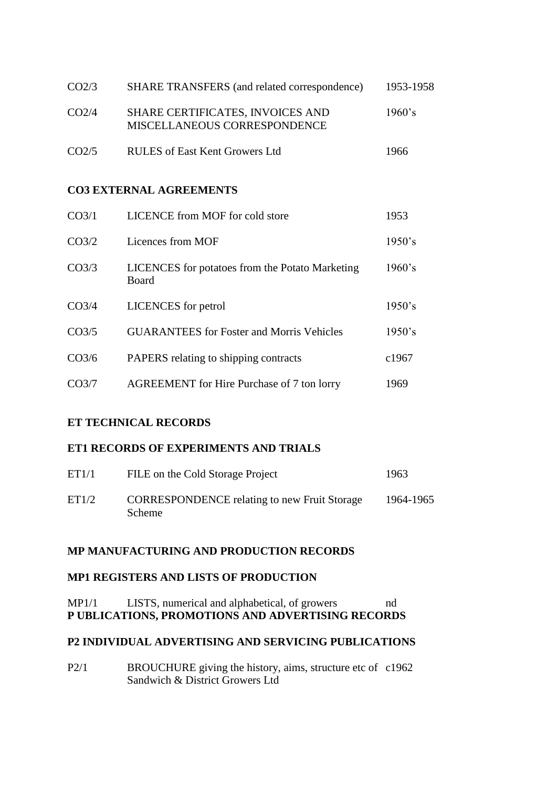| CO <sub>2/3</sub> | SHARE TRANSFERS (and related correspondence)                     | 1953-1958 |
|-------------------|------------------------------------------------------------------|-----------|
| CO <sub>2/4</sub> | SHARE CERTIFICATES, INVOICES AND<br>MISCELLANEOUS CORRESPONDENCE | $1960$ 's |
| CO <sub>2/5</sub> | <b>RULES</b> of East Kent Growers Ltd                            | 1966      |

#### **CO3 EXTERNAL AGREEMENTS**

| CO <sub>3/1</sub>  | LICENCE from MOF for cold store                          | 1953   |
|--------------------|----------------------------------------------------------|--------|
| CO <sub>3/2</sub>  | Licences from MOF                                        | 1950's |
| CO <sub>3/3</sub>  | LICENCES for potatoes from the Potato Marketing<br>Board | 1960's |
| CO <sub>3/4</sub>  | <b>LICENCES</b> for petrol                               | 1950's |
| CO <sub>3/5</sub>  | <b>GUARANTEES</b> for Foster and Morris Vehicles         | 1950's |
| CO <sub>3/6</sub>  | PAPERS relating to shipping contracts                    | c1967  |
| CO <sub>3</sub> /7 | <b>AGREEMENT</b> for Hire Purchase of 7 ton lorry        | 1969   |

### **ET TECHNICAL RECORDS**

#### **ET1 RECORDS OF EXPERIMENTS AND TRIALS**

| ET1/1 | FILE on the Cold Storage Project                                     | 1963      |
|-------|----------------------------------------------------------------------|-----------|
| ET1/2 | <b>CORRESPONDENCE</b> relating to new Fruit Storage<br><b>Scheme</b> | 1964-1965 |

## **MP MANUFACTURING AND PRODUCTION RECORDS**

#### **MP1 REGISTERS AND LISTS OF PRODUCTION**

MP1/1 LISTS, numerical and alphabetical, of growers nd **P UBLICATIONS, PROMOTIONS AND ADVERTISING RECORDS**

#### **P2 INDIVIDUAL ADVERTISING AND SERVICING PUBLICATIONS**

P2/1 BROUCHURE giving the history, aims, structure etc of c1962 Sandwich & District Growers Ltd